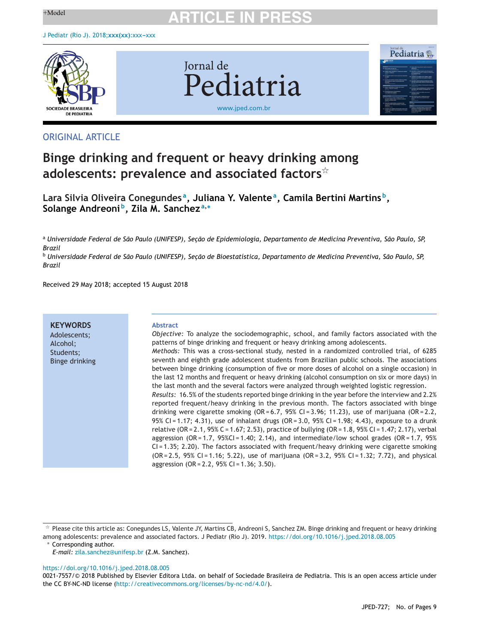

Jornal de Pediatria [www.jped.com.br](http://www.jped.com.br)



## ORIGINAL ARTICLE

## **Binge drinking and frequent or heavy drinking among adolescents: prevalence and associated factors**-

**Lara Silvia Oliveira Conegundes a, Juliana Y. Valentea, Camila Bertini Martins b, Solange Andreoni b, Zila M. Sanchez <sup>a</sup>,<sup>∗</sup>**

a Universidade Federal de São Paulo (UNIFESP), Seção de Epidemiologia, Departamento de Medicina Preventiva, São Paulo, SP, *Brazil*

<sup>b</sup> Universidade Federal de São Paulo (UNIFESP), Seção de Bioestatística, Departamento de Medicina Preventiva, São Paulo, SP, *Brazil*

Received 29 May 2018; accepted 15 August 2018

**KEYWORDS**

Adolescents; Alcohol; Students; Binge drinking

#### **Abstract**

*Objective:* To analyze the sociodemographic, school, and family factors associated with the patterns of binge drinking and frequent or heavy drinking among adolescents. *Methods:* This was a cross-sectional study, nested in a randomized controlled trial, of 6285 seventh and eighth grade adolescent students from Brazilian public schools. The associations between binge drinking (consumption of five or more doses of alcohol on a single occasion) in the last 12 months and frequent or heavy drinking (alcohol consumption on six or more days) in the last month and the several factors were analyzed through weighted logistic regression. *Results:* 16.5% of the students reported binge drinking in the year before the interview and 2.2% reported frequent/heavy drinking in the previous month. The factors associated with binge drinking were cigarette smoking  $(OR = 6.7, 95\% CI = 3.96; 11.23)$ , use of marijuana  $(OR = 2.2,$ 95% CI = 1.17; 4.31), use of inhalant drugs (OR = 3.0, 95% CI = 1.98; 4.43), exposure to a drunk relative (OR = 2.1, 95% C = 1.67; 2.53), practice of bullying (OR = 1.8, 95% CI = 1.47; 2.17), verbal aggression ( $OR = 1.7$ ,  $95\%CI = 1.40$ ; 2.14), and intermediate/low school grades ( $OR = 1.7$ ,  $95\%$ CI = 1.35; 2.20). The factors associated with frequent/heavy drinking were cigarette smoking  $(OR = 2.5, 95\% \text{ CI} = 1.16; 5.22)$ , use of marijuana  $(OR = 3.2, 95\% \text{ CI} = 1.32; 7.72)$ , and physical aggression (OR = 2.2, 95% CI = 1.36; 3.50).

∗ Corresponding author.

<https://doi.org/10.1016/j.jped.2018.08.005>

 $*$  Please cite this article as: Conegundes LS, Valente JY, Martins CB, Andreoni S, Sanchez ZM. Binge drinking and frequent or heavy drinking among adolescents: prevalence and associated factors. J Pediatr (Rio J). 2019. <https://doi.org/10.1016/j.jped.2018.08.005>

*E-mail:* [zila.sanchez@unifesp.br](mailto:zila.sanchez@unifesp.br) (Z.M. Sanchez).

<sup>0021-7557/©</sup> 2018 Published by Elsevier Editora Ltda. on behalf of Sociedade Brasileira de Pediatria. This is an open access article under the CC BY-NC-ND license ([http://creativecommons.org/licenses/by-nc-nd/4.0/\)](http://creativecommons.org/licenses/by-nc-nd/4.0/).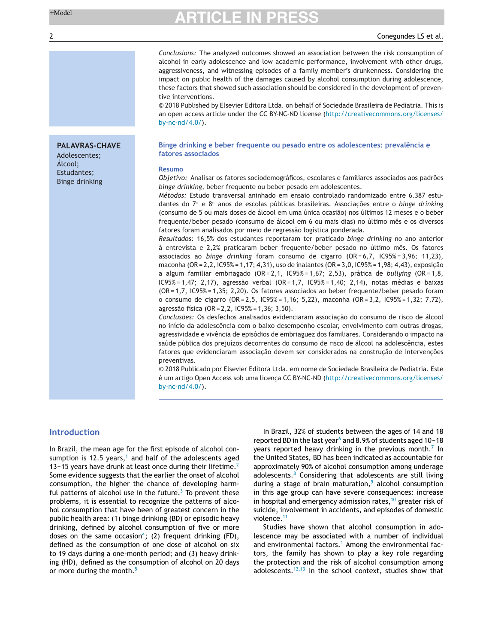#### 2 Conegundes LS et al.

*Conclusions:* The analyzed outcomes showed an association between the risk consumption of alcohol in early adolescence and low academic performance, involvement with other drugs, aggressiveness, and witnessing episodes of a family member's drunkenness. Considering the impact on public health of the damages caused by alcohol consumption during adolescence, these factors that showed such association should be considered in the development of preventive interventions.

© 2018 Published by Elsevier Editora Ltda. on behalf of Sociedade Brasileira de Pediatria. This is an open access article under the CC BY-NC-ND license ([http://creativecommons.org/licenses/](http://creativecommons.org/licenses/by-nc-nd/4.0/) [by-nc-nd/4.0/\)](http://creativecommons.org/licenses/by-nc-nd/4.0/).

**Binge drinking e beber frequente ou pesado entre os adolescentes: prevalência e fatores associados**

#### **Resumo**

*Objetivo:* Analisar os fatores sociodemográficos, escolares e familiares associados aos padrões *binge drinking*, beber frequente ou beber pesado em adolescentes.

*Métodos:* Estudo transversal aninhado em ensaio controlado randomizado entre 6.387 estudantes do 7<sup>°</sup> e 8<sup>°</sup> anos de escolas públicas brasileiras. Associacões entre o *binge drinking* (consumo de 5 ou mais doses de álcool em uma única ocasião) nos últimos 12 meses e o beber frequente/beber pesado (consumo de álcool em 6 ou mais dias) no último mês e os diversos fatores foram analisados por meio de regressão logística ponderada.

*Resultados:* 16,5% dos estudantes reportaram ter praticado *binge drinking* no ano anterior à entrevista e 2,2% praticaram beber frequente/beber pesado no último mês. Os fatores associados ao *binge drinking* foram consumo de cigarro (OR = 6,7, IC95% = 3,96; 11,23), maconha (OR = 2, 2, IC95% = 1,17; 4,31), uso de inalantes (OR = 3,0, IC95% = 1,98; 4,43), exposição a algum familiar embriagado (OR = 2,1, IC95% = 1,67; 2,53), prática de *bullying* (OR = 1,8, IC95% = 1,47; 2,17), agressão verbal (OR = 1,7, IC95% = 1,40; 2,14), notas médias e baixas (OR = 1,7, IC95% = 1,35; 2,20). Os fatores associados ao beber frequente/beber pesado foram o consumo de cigarro (OR = 2,5, IC95% = 1,16; 5,22), maconha (OR = 3,2, IC95% = 1,32; 7,72), agressão física (OR = 2,2, IC95% = 1,36; 3,50).

Conclusões: Os desfechos analisados evidenciaram associação do consumo de risco de álcool no início da adolescência com o baixo desempenho escolar, envolvimento com outras drogas, agressividade e vivência de episódios de embriaguez dos familiares. Considerando o impacto na saúde pública dos prejuízos decorrentes do consumo de risco de álcool na adolescência, estes fatores que evidenciaram associação devem ser considerados na construção de intervenções preventivas.

© 2018 Publicado por Elsevier Editora Ltda. em nome de Sociedade Brasileira de Pediatria. Este é um artigo Open Access sob uma licença CC BY-NC-ND ([http://creativecommons.org/licenses/](http://creativecommons.org/licenses/by-nc-nd/4.0/) [by-nc-nd/4.0/\)](http://creativecommons.org/licenses/by-nc-nd/4.0/).

### **Introduction**

In Brazil, the mean age for the first episode of alcohol con-sumption is [1](#page-7-0)2.5 years,<sup>1</sup> and half of the adolescents aged 13-15 years have drunk at least once during their lifetime.<sup>[2](#page-7-0)</sup> Some evidence suggests that the earlier the onset of alcohol consumption, the higher the chance of developing harmful patterns of alcohol use in the future. $3$  To prevent these problems, it is essential to recognize the patterns of alcohol consumption that have been of greatest concern in the public health area: (1) binge drinking (BD) or episodic heavy drinking, defined by alcohol consumption of five or more doses on the same occasion<sup>4</sup>; (2) frequent drinking (FD), defined as the consumption of one dose of alcohol on six to 19 days during a one-month period; and (3) heavy drinking (HD), defined as the consumption of alcohol on 20 days or more during the month.<sup>[5](#page-7-0)</sup>

In Brazil, 32% of students between the ages of 14 and 18 reported BD in the l[a](#page-7-0)st year<sup>6</sup> and 8.9% of students aged 10-18 years reported heavy drinking in the previous month.<sup>[7](#page-7-0)</sup> In the United States, BD has been indicated as accountable for approximately 90% of alcohol consumption among underage adolescents.[8](#page-7-0) Considering that adolescents are still living during a stage of brain maturation, $9$  alcohol consumption in this age group can have severe consequences: increase in hospital and emergency admission rates, $10$  greater risk of suicide, involvement in accidents, and episodes of domestic violence.[11](#page-7-0)

Studies have shown that alcohol consumption in adolescence may be associated with a number of individual and environmental factors.<sup>[1](#page-7-0)</sup> Among the environmental factors, the family has shown to play a key role regarding the protection and the risk of alcohol consumption among adolescents.<sup>[12,13](#page-7-0)</sup> In the school context, studies show that

## **PALAVRAS-CHAVE**

Adolescentes; Álcool; Estudantes; Binge drinking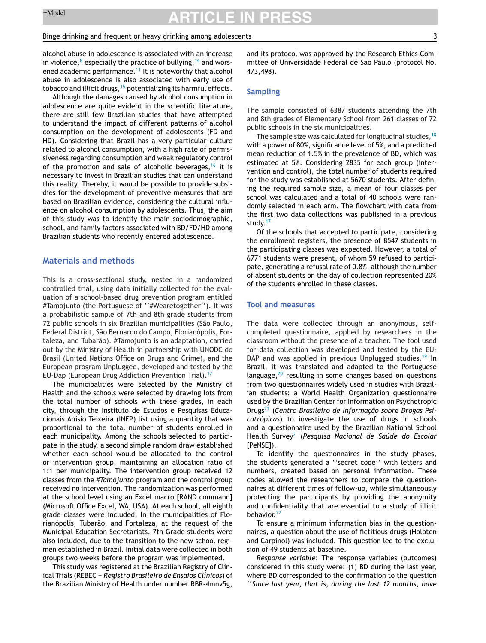#### Binge drinking and frequent or heavy drinking among adolescents 3

alcohol abuse in adolescence is associated with an increase in viol[e](#page-7-0)nce, $^8$  especially the practice of bullying,  $^{14}$  $^{14}$  $^{14}$  and wors-ened academic performance.<sup>[11](#page-7-0)</sup> It is noteworthy that alcohol abuse in adolescence is also associated with early use of tobacco and illicit drugs, <sup>[15](#page-7-0)</sup> potentializing its harmful effects.

Although the damages caused by alcohol consumption in adolescence are quite evident in the scientific literature, there are still few Brazilian studies that have attempted to understand the impact of different patterns of alcohol consumption on the development of adolescents (FD and HD). Considering that Brazil has a very particular culture related to alcohol consumption, with a high rate of permissiveness regarding consumption and weak regulatory control of the promotion and sale of alcoholic beverages,  $16$  it is necessary to invest in Brazilian studies that can understand this reality. Thereby, it would be possible to provide subsidies for the development of preventive measures that are based on Brazilian evidence, considering the cultural influence on alcohol consumption by adolescents. Thus, the aim of this study was to identify the main sociodemographic, school, and family factors associated with BD/FD/HD among Brazilian students who recently entered adolescence.

### **Materials and methods**

This is a cross-sectional study, nested in a randomized controlled trial, using data initially collected for the evaluation of a school-based drug prevention program entitled #Tamojunto (the Portuguese of ''#Wearetogether''). It was a probabilistic sample of 7th and 8th grade students from 72 public schools in six Brazilian municipalities (São Paulo, Federal District, São Bernardo do Campo, Florianópolis, Fortaleza, and Tubarão). #Tamojunto is an adaptation, carried out by the Ministry of Health in partnership with UNODC do Brasil (United Nations Office on Drugs and Crime), and the European program Unplugged, developed and tested by the EU-Dap (European Drug Addiction Prevention Trial).<sup>[17](#page-7-0)</sup>

The municipalities were selected by the Ministry of Health and the schools were selected by drawing lots from the total number of schools with these grades, in each city, through the Instituto de Estudos e Pesquisas Educacionais Anísio Teixeira (INEP) list using a quantity that was proportional to the total number of students enrolled in each municipality. Among the schools selected to participate in the study, a second simple random draw established whether each school would be allocated to the control or intervention group, maintaining an allocation ratio of 1:1 per municipality. The intervention group received 12 classes from the *#Tamojunto* program and the control group received no intervention. The randomization was performed at the school level using an Excel macro [RAND command] (Microsoft Office Excel, WA, USA). At each school, all eighth grade classes were included. In the municipalities of Florianópolis, Tubarão, and Fortaleza, at the request of the Municipal Education Secretariats, 7th Grade students were also included, due to the transition to the new school regimen established in Brazil. Initial data were collected in both groups two weeks before the program was implemented.

This study was registered at the Brazilian Registry of Clinical Trials (REBEC - *Registro Brasileiro de Ensaios Clínicos*) of the Brazilian Ministry of Health under number RBR-4mnv5g,

and its protocol was approved by the Research Ethics Committee of Universidade Federal de São Paulo (protocol No. 473,498).

#### **Sampling**

The sample consisted of 6387 students attending the 7th and 8th grades of Elementary School from 261 classes of 72 public schools in the six municipalities.

The sample size was calculated for longitudinal studies,  $18$ with a power of 80%, significance level of 5%, and a predicted mean reduction of 1.5% in the prevalence of BD, which was estimated at 5%. Considering 2835 for each group (intervention and control), the total number of students required for the study was established at 5670 students. After defining the required sample size, a mean of four classes per school was calculated and a total of 40 schools were randomly selected in each arm. The flowchart with data from the first two data collections was published in a previous study.<sup>[17](#page-7-0)</sup>

Of the schools that accepted to participate, considering the enrollment registers, the presence of 8547 students in the participating classes was expected. However, a total of 6771 students were present, of whom 59 refused to participate, generating a refusal rate of 0.8%, although the number of absent students on the day of collection represented 20% of the students enrolled in these classes.

### **Tool and measures**

The data were collected through an anonymous, selfcompleted questionnaire, applied by researchers in the classroom without the presence of a teacher. The tool used for data collection was developed and tested by the EU-DAP and was applied in previous Unplugged studies.<sup>[19](#page-7-0)</sup> In Brazil, it was translated and adapted to the Portuguese language, $20$  resulting in some changes based on questions from two questionnaires widely used in studies with Brazilian students: a World Health Organization questionnaire used by the Brazilian Center for Information on Psychotropic **Drugs<sup>[21](#page-7-0)</sup> (Centro Brasileiro de Informação sobre Drogas Psi***cotrópicas*) to investigate the use of drugs in schools and a questionnaire used by the Brazilian National School Health Survey[2](#page-7-0) (*Pesquisa Nacional de Saúde do Escolar* [PeNSE]).

To identify the questionnaires in the study phases, the students generated a ''secret code'' with letters and numbers, created based on personal information. These codes allowed the researchers to compare the questionnaires at different times of follow-up, while simultaneously protecting the participants by providing the anonymity and confidentiality that are essential to a study of illicit behavior.<sup>[22](#page-8-0)</sup>

To ensure a minimum information bias in the questionnaires, a question about the use of fictitious drugs (Holoten and Carpinol) was included. This question led to the exclusion of 49 students at baseline.

*Response variable*: The response variables (outcomes) considered in this study were: (1) BD during the last year, where BD corresponded to the confirmation to the question ''*Since last year, that is, during the last 12 months, have*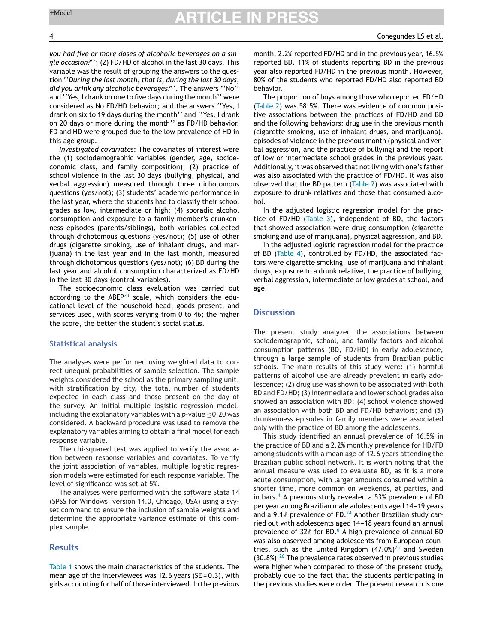*you had five or more doses of alcoholic beverages on a single occasion?*''; (2) FD/HD of alcohol in the last 30 days. This variable was the result of grouping the answers to the question ''*During the last month, that is, during the last 30 days, did you drink any alcoholic beverages?*''. The answers ''No'' and ''Yes, I drank on one to five days during the month'' were considered as No FD/HD behavior; and the answers ''Yes, I drank on six to 19 days during the month'' and ''Yes, I drank on 20 days or more during the month'' as FD/HD behavior. FD and HD were grouped due to the low prevalence of HD in this age group.

*Investigated covariates*: The covariates of interest were the (1) sociodemographic variables (gender, age, socioeconomic class, and family composition); (2) practice of school violence in the last 30 days (bullying, physical, and verbal aggression) measured through three dichotomous questions (yes/not); (3) students' academic performance in the last year, where the students had to classify their school grades as low, intermediate or high; (4) sporadic alcohol consumption and exposure to a family member's drunkenness episodes (parents/siblings), both variables collected through dichotomous questions (yes/not); (5) use of other drugs (cigarette smoking, use of inhalant drugs, and marijuana) in the last year and in the last month, measured through dichotomous questions (yes/not); (6) BD during the last year and alcohol consumption characterized as FD/HD in the last 30 days (control variables).

The socioeconomic class evaluation was carried out according to the  $ABEP^{23}$  $ABEP^{23}$  $ABEP^{23}$  scale, which considers the educational level of the household head, goods present, and services used, with scores varying from 0 to 46; the higher the score, the better the student's social status.

#### **Statistical analysis**

The analyses were performed using weighted data to correct unequal probabilities of sample selection. The sample weights considered the school as the primary sampling unit, with stratification by city, the total number of students expected in each class and those present on the day of the survey. An initial multiple logistic regression model, including the explanatory variables with a *p*-value ≤0.20 was considered. A backward procedure was used to remove the explanatory variables aiming to obtain a final model for each response variable.

The chi-squared test was applied to verify the association between response variables and covariates. To verify the joint association of variables, multiple logistic regression models were estimated for each response variable. The level of significance was set at 5%.

The analyses were performed with the software Stata 14 (SPSS for Windows, version 14.0, Chicago, USA) using a svyset command to ensure the inclusion of sample weights and determine the appropriate variance estimate of this complex sample.

### **Results**

[Table](#page-4-0) 1 shows the main characteristics of the students. The mean age of the interviewees was 12.6 years ( $SE = 0.3$ ), with girls accounting for half of those interviewed. In the previous

month, 2.2% reported FD/HD and in the previous year, 16.5% reported BD. 11% of students reporting BD in the previous year also reported FD/HD in the previous month. However, 80% of the students who reported FD/HD also reported BD behavior.

The proportion of boys among those who reported FD/HD [\(Table](#page-5-0) 2) was 58.5%. There was evidence of common positive associations between the practices of FD/HD and BD and the following behaviors: drug use in the previous month (cigarette smoking, use of inhalant drugs, and marijuana), episodes of violence in the previous month (physical and verbal aggression, and the practice of bullying) and the report of low or intermediate school grades in the previous year. Additionally, it was observed that not living with one's father was also associated with the practice of FD/HD. It was also observed that the BD pattern ([Table](#page-5-0) 2) was associated with exposure to drunk relatives and those that consumed alcohol.

In the adjusted logistic regression model for the practice of FD/HD [\(Table](#page-6-0) 3), independent of BD, the factors that showed association were drug consumption (cigarette smoking and use of marijuana), physical aggression, and BD.

In the adjusted logistic regression model for the practice of BD [\(Table](#page-6-0) 4), controlled by FD/HD, the associated factors were cigarette smoking, use of marijuana and inhalant drugs, exposure to a drunk relative, the practice of bullying, verbal aggression, intermediate or low grades at school, and age.

#### **Discussion**

The present study analyzed the associations between sociodemographic, school, and family factors and alcohol consumption patterns (BD, FD/HD) in early adolescence, through a large sample of students from Brazilian public schools. The main results of this study were: (1) harmful patterns of alcohol use are already prevalent in early adolescence; (2) drug use was shown to be associated with both BD and FD/HD; (3) intermediate and lower school grades also showed an association with BD; (4) school violence showed an association with both BD and FD/HD behaviors; and (5) drunkenness episodes in family members were associated only with the practice of BD among the adolescents.

This study identified an annual prevalence of 16.5% in the practice of BD and a 2.2% monthly prevalence for HD/FD among students with a mean age of 12.6 years attending the Brazilian public school network. It is worth noting that the annual measure was used to evaluate BD, as it is a more acute consumption, with larger amounts consumed within a shorter time, more common on weekends, at parties, and in bars.<sup>[4](#page-7-0)</sup> A previous study revealed a 53% prevalence of BD per year among Brazilian male adolescents aged 14-19 years and a 9.1% prevalence of FD. $24$  Another Brazilian study carried out with adolescents aged 14-18 years found an annual prevalence of 32% for BD.<sup>[6](#page-7-0)</sup> A high prevalence of annual BD was also observed among adolescents from European countries, such as the United Kingdom  $(47.0\%)^{25}$  $(47.0\%)^{25}$  $(47.0\%)^{25}$  and Sweden  $(30.8\%)$ .<sup>[26](#page-8-0)</sup> The prevalence rates observed in previous studies were higher when compared to those of the present study, probably due to the fact that the students participating in the previous studies were older. The present research is one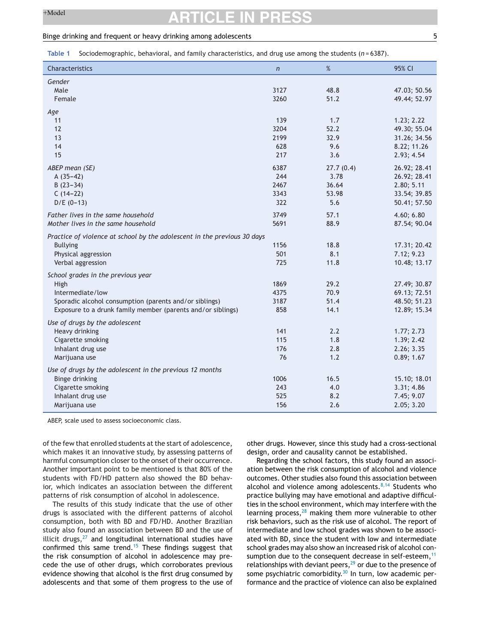#### <span id="page-4-0"></span>Binge drinking and frequent or heavy drinking among adolescents 5

**Table 1** Sociodemographic, behavioral, and family characteristics, and drug use among the students (*n* = 6387).

| Characteristics                                                          | $\overline{n}$ | $\%$      | 95% CI       |
|--------------------------------------------------------------------------|----------------|-----------|--------------|
| Gender                                                                   |                |           |              |
| Male                                                                     | 3127           | 48.8      | 47.03; 50.56 |
| Female                                                                   | 3260           | 51.2      | 49.44; 52.97 |
| Age                                                                      |                |           |              |
| 11                                                                       | 139            | 1.7       | 1.23; 2.22   |
| 12                                                                       | 3204           | 52.2      | 49.30; 55.04 |
| 13                                                                       | 2199           | 32.9      | 31.26; 34.56 |
| 14                                                                       | 628            | 9.6       | 8.22; 11.26  |
| 15                                                                       | 217            | 3.6       | 2.93; 4.54   |
| ABEP mean (SE)                                                           | 6387           | 27.7(0.4) | 26.92; 28.41 |
| $A(35-42)$                                                               | 244            | 3.78      | 26.92; 28.41 |
| $B(23-34)$                                                               | 2467           | 36.64     | 2.80; 5.11   |
| $C(14-22)$                                                               | 3343           | 53.98     | 33.54; 39.85 |
| $D/E (0-13)$                                                             | 322            | 5.6       | 50.41; 57.50 |
| Father lives in the same household                                       | 3749           | 57.1      | 4.60; 6.80   |
| Mother lives in the same household                                       | 5691           | 88.9      | 87.54; 90.04 |
| Practice of violence at school by the adolescent in the previous 30 days |                |           |              |
| <b>Bullying</b>                                                          | 1156           | 18.8      | 17.31; 20.42 |
| Physical aggression                                                      | 501            | 8.1       | 7.12; 9.23   |
| Verbal aggression                                                        | 725            | 11.8      | 10.48; 13.17 |
| School grades in the previous year                                       |                |           |              |
| High                                                                     | 1869           | 29.2      | 27.49; 30.87 |
| Intermediate/low                                                         | 4375           | 70.9      | 69.13; 72.51 |
| Sporadic alcohol consumption (parents and/or siblings)                   | 3187           | 51.4      | 48.50; 51.23 |
| Exposure to a drunk family member (parents and/or siblings)              | 858            | 14.1      | 12.89; 15.34 |
| Use of drugs by the adolescent                                           |                |           |              |
| Heavy drinking                                                           | 141            | 2.2       | 1.77; 2.73   |
| Cigarette smoking                                                        | 115            | 1.8       | 1.39; 2.42   |
| Inhalant drug use                                                        | 176            | 2.8       | 2.26; 3.35   |
| Marijuana use                                                            | 76             | 1.2       | 0.89; 1.67   |
| Use of drugs by the adolescent in the previous 12 months                 |                |           |              |
| <b>Binge drinking</b>                                                    | 1006           | 16.5      | 15.10; 18.01 |
| Cigarette smoking                                                        | 243            | 4.0       | 3.31; 4.86   |
| Inhalant drug use                                                        | 525            | 8.2       | 7.45; 9.07   |
| Marijuana use                                                            | 156            | 2.6       | 2.05; 3.20   |

ABEP, scale used to assess socioeconomic class.

of the few that enrolled students at the start of adolescence, which makes it an innovative study, by assessing patterns of harmful consumption closer to the onset of their occurrence. Another important point to be mentioned is that 80% of the students with FD/HD pattern also showed the BD behavior, which indicates an association between the different patterns of risk consumption of alcohol in adolescence.

The results of this study indicate that the use of other drugs is associated with the different patterns of alcohol consumption, both with BD and FD/HD. Another Brazilian study also found an association between BD and the use of illicit drugs, $27$  and longitudinal international studies have confirmed this same trend.[15](#page-7-0) These findings suggest that the risk consumption of alcohol in adolescence may precede the use of other drugs, which corroborates previous evidence showing that alcohol is the first drug consumed by adolescents and that some of them progress to the use of other drugs. However, since this study had a cross-sectional design, order and causality cannot be established.

Regarding the school factors, this study found an association between the risk consumption of alcohol and violence outcomes. Other studies also found this association between alcohol and violence among adolescents. $8,14$  Students who practice bullying may have emotional and adaptive difficulties in the school environment, which may interfere with the learning process, $28$  making them more vulnerable to other risk behaviors, such as the risk use of alcohol. The report of intermediate and low school grades was shown to be associated with BD, since the student with low and intermediate school grades may also show an increased risk of alcohol consumption due to the consequent decrease in self-esteem, $<sup>11</sup>$  $<sup>11</sup>$  $<sup>11</sup>$ </sup> relationships with deviant peers, $^{29}$  $^{29}$  $^{29}$  or due to the presence of some psychiatric comorbidity.<sup>[30](#page-8-0)</sup> In turn, low academic performance and the practice of violence can also be explained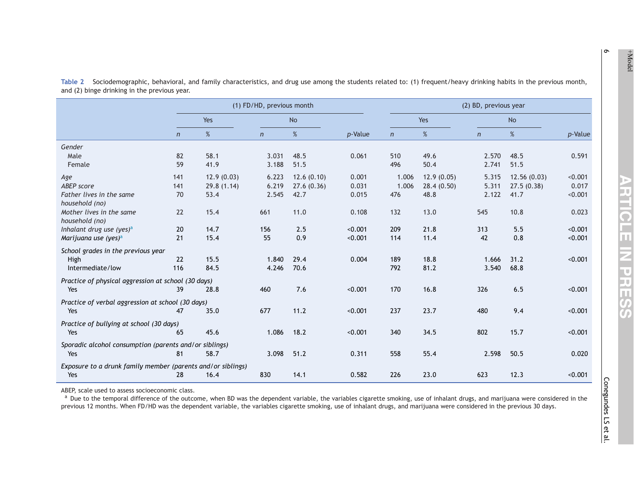|                                                                    |              | (1) FD/HD, previous month |              |            |         | (2) BD, previous year |            |                |             |         |
|--------------------------------------------------------------------|--------------|---------------------------|--------------|------------|---------|-----------------------|------------|----------------|-------------|---------|
|                                                                    | Yes          |                           | <b>No</b>    |            |         | Yes                   |            | <b>No</b>      |             |         |
|                                                                    | $\mathsf{n}$ | $\%$                      | $\mathsf{n}$ | $\%$       | p-Value | $\mathsf{n}$          | %          | $\overline{n}$ | $\%$        | p-Value |
| Gender                                                             |              |                           |              |            |         |                       |            |                |             |         |
| Male                                                               | 82           | 58.1                      | 3.031        | 48.5       | 0.061   | 510                   | 49.6       | 2.570          | 48.5        | 0.591   |
| Female                                                             | 59           | 41.9                      | 3.188        | 51.5       |         | 496                   | 50.4       | 2.741          | 51.5        |         |
| Age                                                                | 141          | 12.9(0.03)                | 6.223        | 12.6(0.10) | 0.001   | 1.006                 | 12.9(0.05) | 5.315          | 12.56(0.03) | < 0.001 |
| <b>ABEP</b> score                                                  | 141          | 29.8(1.14)                | 6.219        | 27.6(0.36) | 0.031   | 1.006                 | 28.4(0.50) | 5.311          | 27.5(0.38)  | 0.017   |
| Father lives in the same<br>household (no)                         | 70           | 53.4                      | 2.545        | 42.7       | 0.015   | 476                   | 48.8       | 2.122          | 41.7        | < 0.001 |
| Mother lives in the same<br>household (no)                         | 22           | 15.4                      | 661          | 11.0       | 0.108   | 132                   | 13.0       | 545            | 10.8        | 0.023   |
| Inhalant drug use (yes) <sup>a</sup>                               | 20           | 14.7                      | 156          | 2.5        | < 0.001 | 209                   | 21.8       | 313            | 5.5         | < 0.001 |
| Marijuana use (yes) <sup>a</sup>                                   | 21           | 15.4                      | 55           | 0.9        | < 0.001 | 114                   | 11.4       | 42             | 0.8         | < 0.001 |
| School grades in the previous year                                 |              |                           |              |            |         |                       |            |                |             |         |
| High                                                               | 22           | 15.5                      | 1.840        | 29.4       | 0.004   | 189                   | 18.8       | 1.666          | 31.2        | < 0.001 |
| Intermediate/low                                                   | 116          | 84.5                      | 4.246        | 70.6       |         | 792                   | 81.2       | 3.540          | 68.8        |         |
| Practice of physical aggression at school (30 days)                |              |                           |              |            |         |                       |            |                |             |         |
| Yes                                                                | 39           | 28.8                      | 460          | 7.6        | < 0.001 | 170                   | 16.8       | 326            | 6.5         | < 0.001 |
| Practice of verbal aggression at school (30 days)                  |              |                           |              |            |         |                       |            |                |             |         |
| Yes                                                                | 47           | 35.0                      | 677          | 11.2       | < 0.001 | 237                   | 23.7       | 480            | 9.4         | < 0.001 |
| Practice of bullying at school (30 days)                           |              |                           |              |            |         |                       |            |                |             |         |
| Yes                                                                | 65           | 45.6                      | 1.086        | 18.2       | < 0.001 | 340                   | 34.5       | 802            | 15.7        | < 0.001 |
| Sporadic alcohol consumption (parents and/or siblings)             |              |                           |              |            |         |                       |            |                |             |         |
| Yes                                                                | 81           | 58.7                      | 3.098        | 51.2       | 0.311   | 558                   | 55.4       | 2.598          | 50.5        | 0.020   |
| Exposure to a drunk family member (parents and/or siblings)<br>Yes | 28           | 16.4                      | 830          | 14.1       | 0.582   | 226                   | 23.0       | 623            | 12.3        | < 0.001 |
|                                                                    |              |                           |              |            |         |                       |            |                |             |         |

<span id="page-5-0"></span>**Table 2** Sociodemographic, behavioral, and family characteristics, and drug use among the students related to: (1) frequent/heavy drinking habits in the previous month, and (2) binge drinking in the previous year.

ABEP, scale used to assess socioeconomic class.

<sup>a</sup> Due to the temporal difference of the outcome, when BD was the dependent variable, the variables cigarette smoking, use of inhalant drugs, and marijuana were considered in the previous 12 months. When FD/HD was the dependent variable, the variables cigarette smoking, use of inhalant drugs, and marijuana were considered in the previous 30 days.

 $\sigma$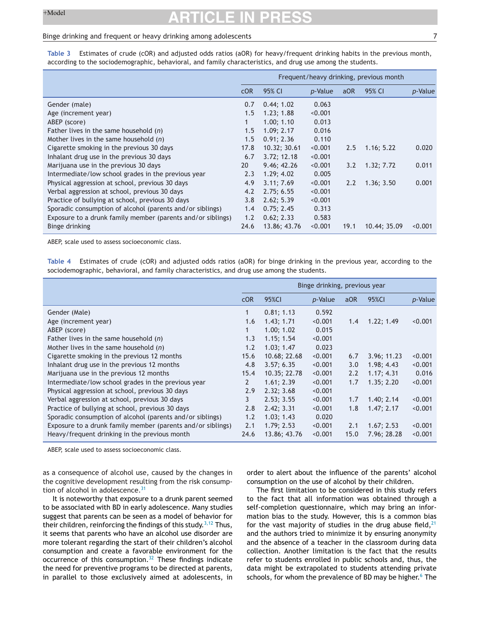#### <span id="page-6-0"></span>Binge drinking and frequent or heavy drinking among adolescents 7

**Table 3** Estimates of crude (cOR) and adjusted odds ratios (aOR) for heavy/frequent drinking habits in the previous month, according to the sociodemographic, behavioral, and family characteristics, and drug use among the students.

|                                                             | Frequent/heavy drinking, previous month |              |                 |      |              |         |  |
|-------------------------------------------------------------|-----------------------------------------|--------------|-----------------|------|--------------|---------|--|
|                                                             | COR                                     | 95% CI       | <i>p</i> -Value | aOR  | 95% CI       | p-Value |  |
| Gender (male)                                               | 0.7                                     | 0.44; 1.02   | 0.063           |      |              |         |  |
| Age (increment year)                                        | 1.5                                     | 1.23; 1.88   | < 0.001         |      |              |         |  |
| ABEP (score)                                                | 1                                       | 1.00; 1.10   | 0.013           |      |              |         |  |
| Father lives in the same household $(n)$                    | 1.5                                     | 1.09; 2.17   | 0.016           |      |              |         |  |
| Mother lives in the same household $(n)$                    | 1.5                                     | 0.91; 2.36   | 0.110           |      |              |         |  |
| Cigarette smoking in the previous 30 days                   | 17.8                                    | 10.32; 30.61 | < 0.001         | 2.5  | 1.16; 5.22   | 0.020   |  |
| Inhalant drug use in the previous 30 days                   | 6.7                                     | 3.72; 12.18  | < 0.001         |      |              |         |  |
| Marijuana use in the previous 30 days                       | 20                                      | 9.46; 42.26  | < 0.001         | 3.2  | 1.32; 7.72   | 0.011   |  |
| Intermediate/low school grades in the previous year         | 2.3                                     | 1.29; 4.02   | 0.005           |      |              |         |  |
| Physical aggression at school, previous 30 days             | 4.9                                     | 3.11; 7.69   | < 0.001         | 2.2  | 1.36; 3.50   | 0.001   |  |
| Verbal aggression at school, previous 30 days               | 4.2                                     | 2.75; 6.55   | < 0.001         |      |              |         |  |
| Practice of bullying at school, previous 30 days            | 3.8                                     | 2.62; 5.39   | < 0.001         |      |              |         |  |
| Sporadic consumption of alcohol (parents and/or siblings)   | 1.4                                     | 0.75; 2.45   | 0.313           |      |              |         |  |
| Exposure to a drunk family member (parents and/or siblings) | 1.2                                     | 0.62; 2.33   | 0.583           |      |              |         |  |
| Binge drinking                                              | 24.6                                    | 13.86; 43.76 | < 0.001         | 19.1 | 10.44; 35.09 | < 0.001 |  |

ABEP, scale used to assess socioeconomic class.

**Table 4** Estimates of crude (cOR) and adjusted odds ratios (aOR) for binge drinking in the previous year, according to the sociodemographic, behavioral, and family characteristics, and drug use among the students.

|                                                             | Binge drinking, previous year |              |                 |      |             |         |  |  |
|-------------------------------------------------------------|-------------------------------|--------------|-----------------|------|-------------|---------|--|--|
|                                                             | COR                           | 95%CI        | <i>p</i> -Value | aOR  | 95%CI       | p-Value |  |  |
| Gender (Male)                                               | 1                             | 0.81; 1.13   | 0.592           |      |             |         |  |  |
| Age (increment year)                                        | 1.6                           | 1.43; 1.71   | < 0.001         | 1.4  | 1.22; 1.49  | < 0.001 |  |  |
| ABEP (score)                                                |                               | 1.00; 1.02   | 0.015           |      |             |         |  |  |
| Father lives in the same household $(n)$                    | 1.3                           | 1.15; 1.54   | < 0.001         |      |             |         |  |  |
| Mother lives in the same household $(n)$                    | 1.2                           | 1.03; 1.47   | 0.023           |      |             |         |  |  |
| Cigarette smoking in the previous 12 months                 | 15.6                          | 10.68; 22.68 | < 0.001         | 6.7  | 3.96; 11.23 | < 0.001 |  |  |
| Inhalant drug use in the previous 12 months                 | 4.8                           | 3.57; 6.35   | < 0.001         | 3.0  | 1.98; 4.43  | < 0.001 |  |  |
| Marijuana use in the previous 12 months                     | 15.4                          | 10.35; 22.78 | < 0.001         | 2.2  | 1.17; 4.31  | 0.016   |  |  |
| Intermediate/low school grades in the previous year         | $\mathbf{2}$                  | 1.61; 2.39   | < 0.001         | 1.7  | 1.35; 2.20  | < 0.001 |  |  |
| Physical aggression at school, previous 30 days             | 2.9                           | 2.32; 3.68   | < 0.001         |      |             |         |  |  |
| Verbal aggression at school, previous 30 days               | 3                             | 2.53; 3.55   | < 0.001         | 1.7  | 1.40; 2.14  | < 0.001 |  |  |
| Practice of bullying at school, previous 30 days            | 2.8                           | 2.42; 3.31   | < 0.001         | 1.8  | 1.47; 2.17  | < 0.001 |  |  |
| Sporadic consumption of alcohol (parents and/or siblings)   | 1.2                           | 1.03; 1.43   | 0.020           |      |             |         |  |  |
| Exposure to a drunk family member (parents and/or siblings) | 2.1                           | 1.79; 2.53   | < 0.001         | 2.1  | 1.67; 2.53  | < 0.001 |  |  |
| Heavy/frequent drinking in the previous month               | 24.6                          | 13.86; 43.76 | < 0.001         | 15.0 | 7.96; 28.28 | < 0.001 |  |  |

ABEP, scale used to assess socioeconomic class.

as a consequence of alcohol use, caused by the changes in the cognitive development resulting from the risk consump-tion of alcohol in adolescence.<sup>[31](#page-8-0)</sup>

It is noteworthy that exposure to a drunk parent seemed to be associated with BD in early adolescence. Many studies suggest that parents can be seen as a model of behavior for their children, reinforcing the findings of this study.<sup>[3,12](#page-7-0)</sup> Thus, it seems that parents who have an alcohol use disorder are more tolerant regarding the start of their children's alcohol consumption and create a favorable environment for the occurrence of this consumption.<sup>[32](#page-8-0)</sup> These findings indicate the need for preventive programs to be directed at parents, in parallel to those exclusively aimed at adolescents, in order to alert about the influence of the parents' alcohol consumption on the use of alcohol by their children.

The first limitation to be considered in this study refers to the fact that all information was obtained through a self-completion questionnaire, which may bring an information bias to the study. However, this is a common bias for the vast majority of studies in the drug abuse field,  $21$ and the authors tried to minimize it by ensuring anonymity and the absence of a teacher in the classroom during data collection. Another limitation is the fact that the results refer to students enrolled in public schools and, thus, the data might be extrapolated to students attending private schools, for whom the prevalence of BD may be higher.<sup>6</sup> [T](#page-7-0)he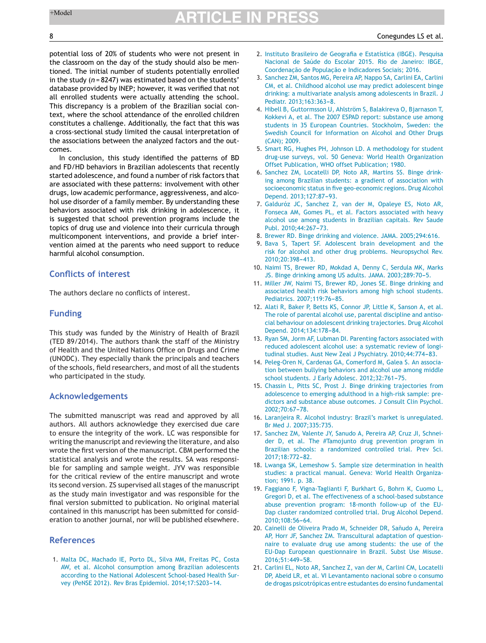<span id="page-7-0"></span>potential loss of 20% of students who were not present in the classroom on the day of the study should also be mentioned. The initial number of students potentially enrolled in the study (*n* = 8247) was estimated based on the students' database provided by INEP; however, it was verified that not all enrolled students were actually attending the school. This discrepancy is a problem of the Brazilian social context, where the school attendance of the enrolled children constitutes a challenge. Additionally, the fact that this was a cross-sectional study limited the causal interpretation of the associations between the analyzed factors and the outcomes.

In conclusion, this study identified the patterns of BD and FD/HD behaviors in Brazilian adolescents that recently started adolescence, and found a number of risk factors that are associated with these patterns: involvement with other drugs, low academic performance, aggressiveness, and alcohol use disorder of a family member. By understanding these behaviors associated with risk drinking in adolescence, it is suggested that school prevention programs include the topics of drug use and violence into their curricula through multicomponent interventions, and provide a brief intervention aimed at the parents who need support to reduce harmful alcohol consumption.

## **Conflicts of interest**

The authors declare no conflicts of interest.

## **Funding**

This study was funded by the Ministry of Health of Brazil (TED 89/2014). The authors thank the staff of the Ministry of Health and the United Nations Office on Drugs and Crime (UNODC). They especially thank the principals and teachers of the schools, field researchers, and most of all the students who participated in the study.

### **Acknowledgements**

The submitted manuscript was read and approved by all authors. All authors acknowledge they exercised due care to ensure the integrity of the work. LC was responsible for writing the manuscript and reviewing the literature, and also wrote the first version of the manuscript. CBM performed the statistical analysis and wrote the results. SA was responsible for sampling and sample weight. JYV was responsible for the critical review of the entire manuscript and wrote its second version. ZS supervised all stages of the manuscript as the study main investigator and was responsible for the final version submitted to publication. No original material contained in this manuscript has been submitted for consideration to another journal, nor will be published elsewhere.

### **References**

1. [Malta](http://refhub.elsevier.com/S0021-7557(18)30647-8/sbref0165) [DC,](http://refhub.elsevier.com/S0021-7557(18)30647-8/sbref0165) [Machado](http://refhub.elsevier.com/S0021-7557(18)30647-8/sbref0165) [IE,](http://refhub.elsevier.com/S0021-7557(18)30647-8/sbref0165) [Porto](http://refhub.elsevier.com/S0021-7557(18)30647-8/sbref0165) [DL,](http://refhub.elsevier.com/S0021-7557(18)30647-8/sbref0165) [Silva](http://refhub.elsevier.com/S0021-7557(18)30647-8/sbref0165) [MM,](http://refhub.elsevier.com/S0021-7557(18)30647-8/sbref0165) [Freitas](http://refhub.elsevier.com/S0021-7557(18)30647-8/sbref0165) [PC,](http://refhub.elsevier.com/S0021-7557(18)30647-8/sbref0165) [Costa](http://refhub.elsevier.com/S0021-7557(18)30647-8/sbref0165) [AW,](http://refhub.elsevier.com/S0021-7557(18)30647-8/sbref0165) [et](http://refhub.elsevier.com/S0021-7557(18)30647-8/sbref0165) [al.](http://refhub.elsevier.com/S0021-7557(18)30647-8/sbref0165) [Alcohol](http://refhub.elsevier.com/S0021-7557(18)30647-8/sbref0165) [consumption](http://refhub.elsevier.com/S0021-7557(18)30647-8/sbref0165) [among](http://refhub.elsevier.com/S0021-7557(18)30647-8/sbref0165) [Brazilian](http://refhub.elsevier.com/S0021-7557(18)30647-8/sbref0165) [adolescents](http://refhub.elsevier.com/S0021-7557(18)30647-8/sbref0165) [according](http://refhub.elsevier.com/S0021-7557(18)30647-8/sbref0165) [to](http://refhub.elsevier.com/S0021-7557(18)30647-8/sbref0165) [the](http://refhub.elsevier.com/S0021-7557(18)30647-8/sbref0165) [National](http://refhub.elsevier.com/S0021-7557(18)30647-8/sbref0165) [Adolescent](http://refhub.elsevier.com/S0021-7557(18)30647-8/sbref0165) [School-based](http://refhub.elsevier.com/S0021-7557(18)30647-8/sbref0165) [Health](http://refhub.elsevier.com/S0021-7557(18)30647-8/sbref0165) [Sur](http://refhub.elsevier.com/S0021-7557(18)30647-8/sbref0165)[vey](http://refhub.elsevier.com/S0021-7557(18)30647-8/sbref0165) [\(PeNSE](http://refhub.elsevier.com/S0021-7557(18)30647-8/sbref0165) [2012\).](http://refhub.elsevier.com/S0021-7557(18)30647-8/sbref0165) [Rev](http://refhub.elsevier.com/S0021-7557(18)30647-8/sbref0165) [Bras](http://refhub.elsevier.com/S0021-7557(18)30647-8/sbref0165) [Epidemiol.](http://refhub.elsevier.com/S0021-7557(18)30647-8/sbref0165) 2014;17:S203-14.

- 2. [Instituto](http://refhub.elsevier.com/S0021-7557(18)30647-8/sbref0170) [Brasileiro](http://refhub.elsevier.com/S0021-7557(18)30647-8/sbref0170) [de](http://refhub.elsevier.com/S0021-7557(18)30647-8/sbref0170) [Geografia](http://refhub.elsevier.com/S0021-7557(18)30647-8/sbref0170) [e](http://refhub.elsevier.com/S0021-7557(18)30647-8/sbref0170) [Estatística](http://refhub.elsevier.com/S0021-7557(18)30647-8/sbref0170) [\(IBGE\).](http://refhub.elsevier.com/S0021-7557(18)30647-8/sbref0170) [Pesquisa](http://refhub.elsevier.com/S0021-7557(18)30647-8/sbref0170) [Nacional](http://refhub.elsevier.com/S0021-7557(18)30647-8/sbref0170) [de](http://refhub.elsevier.com/S0021-7557(18)30647-8/sbref0170) [Saúde](http://refhub.elsevier.com/S0021-7557(18)30647-8/sbref0170) [do](http://refhub.elsevier.com/S0021-7557(18)30647-8/sbref0170) [Escolar](http://refhub.elsevier.com/S0021-7557(18)30647-8/sbref0170) [2015.](http://refhub.elsevier.com/S0021-7557(18)30647-8/sbref0170) [Rio](http://refhub.elsevier.com/S0021-7557(18)30647-8/sbref0170) [de](http://refhub.elsevier.com/S0021-7557(18)30647-8/sbref0170) [Janeiro:](http://refhub.elsevier.com/S0021-7557(18)30647-8/sbref0170) [IBGE,](http://refhub.elsevier.com/S0021-7557(18)30647-8/sbref0170) Coor[de](http://refhub.elsevier.com/S0021-7557(18)30647-8/sbref0170)nacão d[e](http://refhub.elsevier.com/S0021-7557(18)30647-8/sbref0170) Populacão e [Indicadores](http://refhub.elsevier.com/S0021-7557(18)30647-8/sbref0170) [Sociais;](http://refhub.elsevier.com/S0021-7557(18)30647-8/sbref0170) [2016.](http://refhub.elsevier.com/S0021-7557(18)30647-8/sbref0170)
- 3. [Sanchez](http://refhub.elsevier.com/S0021-7557(18)30647-8/sbref0175) [ZM,](http://refhub.elsevier.com/S0021-7557(18)30647-8/sbref0175) [Santos](http://refhub.elsevier.com/S0021-7557(18)30647-8/sbref0175) [MG,](http://refhub.elsevier.com/S0021-7557(18)30647-8/sbref0175) [Pereira](http://refhub.elsevier.com/S0021-7557(18)30647-8/sbref0175) [AP,](http://refhub.elsevier.com/S0021-7557(18)30647-8/sbref0175) [Nappo](http://refhub.elsevier.com/S0021-7557(18)30647-8/sbref0175) [SA,](http://refhub.elsevier.com/S0021-7557(18)30647-8/sbref0175) [Carlini](http://refhub.elsevier.com/S0021-7557(18)30647-8/sbref0175) [EA,](http://refhub.elsevier.com/S0021-7557(18)30647-8/sbref0175) [Carlini](http://refhub.elsevier.com/S0021-7557(18)30647-8/sbref0175) [CM,](http://refhub.elsevier.com/S0021-7557(18)30647-8/sbref0175) [et](http://refhub.elsevier.com/S0021-7557(18)30647-8/sbref0175) [al.](http://refhub.elsevier.com/S0021-7557(18)30647-8/sbref0175) [Childhood](http://refhub.elsevier.com/S0021-7557(18)30647-8/sbref0175) [alcohol](http://refhub.elsevier.com/S0021-7557(18)30647-8/sbref0175) [use](http://refhub.elsevier.com/S0021-7557(18)30647-8/sbref0175) [may](http://refhub.elsevier.com/S0021-7557(18)30647-8/sbref0175) [predict](http://refhub.elsevier.com/S0021-7557(18)30647-8/sbref0175) [adolescent](http://refhub.elsevier.com/S0021-7557(18)30647-8/sbref0175) [binge](http://refhub.elsevier.com/S0021-7557(18)30647-8/sbref0175) [drinking:](http://refhub.elsevier.com/S0021-7557(18)30647-8/sbref0175) [a](http://refhub.elsevier.com/S0021-7557(18)30647-8/sbref0175) [multivariate](http://refhub.elsevier.com/S0021-7557(18)30647-8/sbref0175) [analysis](http://refhub.elsevier.com/S0021-7557(18)30647-8/sbref0175) [among](http://refhub.elsevier.com/S0021-7557(18)30647-8/sbref0175) [adolescents](http://refhub.elsevier.com/S0021-7557(18)30647-8/sbref0175) [in](http://refhub.elsevier.com/S0021-7557(18)30647-8/sbref0175) [Brazil.](http://refhub.elsevier.com/S0021-7557(18)30647-8/sbref0175) [J](http://refhub.elsevier.com/S0021-7557(18)30647-8/sbref0175) [Pediatr.](http://refhub.elsevier.com/S0021-7557(18)30647-8/sbref0175) 2013;163:363-8.
- 4. [Hibell](http://refhub.elsevier.com/S0021-7557(18)30647-8/sbref0180) [B,](http://refhub.elsevier.com/S0021-7557(18)30647-8/sbref0180) [Guttormsson](http://refhub.elsevier.com/S0021-7557(18)30647-8/sbref0180) [U,](http://refhub.elsevier.com/S0021-7557(18)30647-8/sbref0180) [Ahlström](http://refhub.elsevier.com/S0021-7557(18)30647-8/sbref0180) [S,](http://refhub.elsevier.com/S0021-7557(18)30647-8/sbref0180) [Balakireva](http://refhub.elsevier.com/S0021-7557(18)30647-8/sbref0180) [O,](http://refhub.elsevier.com/S0021-7557(18)30647-8/sbref0180) [Bjarnason](http://refhub.elsevier.com/S0021-7557(18)30647-8/sbref0180) [T,](http://refhub.elsevier.com/S0021-7557(18)30647-8/sbref0180) [Kokkevi](http://refhub.elsevier.com/S0021-7557(18)30647-8/sbref0180) [A,](http://refhub.elsevier.com/S0021-7557(18)30647-8/sbref0180) [et](http://refhub.elsevier.com/S0021-7557(18)30647-8/sbref0180) [al.](http://refhub.elsevier.com/S0021-7557(18)30647-8/sbref0180) [The](http://refhub.elsevier.com/S0021-7557(18)30647-8/sbref0180) [2007](http://refhub.elsevier.com/S0021-7557(18)30647-8/sbref0180) [ESPAD](http://refhub.elsevier.com/S0021-7557(18)30647-8/sbref0180) [report:](http://refhub.elsevier.com/S0021-7557(18)30647-8/sbref0180) [substance](http://refhub.elsevier.com/S0021-7557(18)30647-8/sbref0180) [use](http://refhub.elsevier.com/S0021-7557(18)30647-8/sbref0180) [among](http://refhub.elsevier.com/S0021-7557(18)30647-8/sbref0180) [students](http://refhub.elsevier.com/S0021-7557(18)30647-8/sbref0180) [in](http://refhub.elsevier.com/S0021-7557(18)30647-8/sbref0180) [35](http://refhub.elsevier.com/S0021-7557(18)30647-8/sbref0180) [European](http://refhub.elsevier.com/S0021-7557(18)30647-8/sbref0180) [Countries.](http://refhub.elsevier.com/S0021-7557(18)30647-8/sbref0180) [Stockholm,](http://refhub.elsevier.com/S0021-7557(18)30647-8/sbref0180) [Sweden:](http://refhub.elsevier.com/S0021-7557(18)30647-8/sbref0180) [the](http://refhub.elsevier.com/S0021-7557(18)30647-8/sbref0180) [Swedish](http://refhub.elsevier.com/S0021-7557(18)30647-8/sbref0180) [Council](http://refhub.elsevier.com/S0021-7557(18)30647-8/sbref0180) [for](http://refhub.elsevier.com/S0021-7557(18)30647-8/sbref0180) [Information](http://refhub.elsevier.com/S0021-7557(18)30647-8/sbref0180) [on](http://refhub.elsevier.com/S0021-7557(18)30647-8/sbref0180) [Alcohol](http://refhub.elsevier.com/S0021-7557(18)30647-8/sbref0180) [and](http://refhub.elsevier.com/S0021-7557(18)30647-8/sbref0180) [Other](http://refhub.elsevier.com/S0021-7557(18)30647-8/sbref0180) [Drugs](http://refhub.elsevier.com/S0021-7557(18)30647-8/sbref0180) [\(CAN\);](http://refhub.elsevier.com/S0021-7557(18)30647-8/sbref0180) [2009.](http://refhub.elsevier.com/S0021-7557(18)30647-8/sbref0180)
- 5. [Smart](http://refhub.elsevier.com/S0021-7557(18)30647-8/sbref0185) [RG,](http://refhub.elsevier.com/S0021-7557(18)30647-8/sbref0185) [Hughes](http://refhub.elsevier.com/S0021-7557(18)30647-8/sbref0185) [PH,](http://refhub.elsevier.com/S0021-7557(18)30647-8/sbref0185) [Johnson](http://refhub.elsevier.com/S0021-7557(18)30647-8/sbref0185) [LD.](http://refhub.elsevier.com/S0021-7557(18)30647-8/sbref0185) [A](http://refhub.elsevier.com/S0021-7557(18)30647-8/sbref0185) [methodology](http://refhub.elsevier.com/S0021-7557(18)30647-8/sbref0185) [for](http://refhub.elsevier.com/S0021-7557(18)30647-8/sbref0185) [student](http://refhub.elsevier.com/S0021-7557(18)30647-8/sbref0185) [drug-use](http://refhub.elsevier.com/S0021-7557(18)30647-8/sbref0185) [surveys,](http://refhub.elsevier.com/S0021-7557(18)30647-8/sbref0185) [vol.](http://refhub.elsevier.com/S0021-7557(18)30647-8/sbref0185) [50](http://refhub.elsevier.com/S0021-7557(18)30647-8/sbref0185) [Geneva:](http://refhub.elsevier.com/S0021-7557(18)30647-8/sbref0185) [World](http://refhub.elsevier.com/S0021-7557(18)30647-8/sbref0185) [Health](http://refhub.elsevier.com/S0021-7557(18)30647-8/sbref0185) [Organization](http://refhub.elsevier.com/S0021-7557(18)30647-8/sbref0185) [Offset](http://refhub.elsevier.com/S0021-7557(18)30647-8/sbref0185) [Publication,](http://refhub.elsevier.com/S0021-7557(18)30647-8/sbref0185) [WHO](http://refhub.elsevier.com/S0021-7557(18)30647-8/sbref0185) [offset](http://refhub.elsevier.com/S0021-7557(18)30647-8/sbref0185) [Publication;](http://refhub.elsevier.com/S0021-7557(18)30647-8/sbref0185) [1980.](http://refhub.elsevier.com/S0021-7557(18)30647-8/sbref0185)
- 6. [Sanchez](http://refhub.elsevier.com/S0021-7557(18)30647-8/sbref0190) [ZM,](http://refhub.elsevier.com/S0021-7557(18)30647-8/sbref0190) [Locatelli](http://refhub.elsevier.com/S0021-7557(18)30647-8/sbref0190) [DP,](http://refhub.elsevier.com/S0021-7557(18)30647-8/sbref0190) [Noto](http://refhub.elsevier.com/S0021-7557(18)30647-8/sbref0190) [AR,](http://refhub.elsevier.com/S0021-7557(18)30647-8/sbref0190) [Martins](http://refhub.elsevier.com/S0021-7557(18)30647-8/sbref0190) [SS.](http://refhub.elsevier.com/S0021-7557(18)30647-8/sbref0190) [Binge](http://refhub.elsevier.com/S0021-7557(18)30647-8/sbref0190) [drink](http://refhub.elsevier.com/S0021-7557(18)30647-8/sbref0190)[ing](http://refhub.elsevier.com/S0021-7557(18)30647-8/sbref0190) [among](http://refhub.elsevier.com/S0021-7557(18)30647-8/sbref0190) [Brazilian](http://refhub.elsevier.com/S0021-7557(18)30647-8/sbref0190) [students:](http://refhub.elsevier.com/S0021-7557(18)30647-8/sbref0190) [a](http://refhub.elsevier.com/S0021-7557(18)30647-8/sbref0190) [gradient](http://refhub.elsevier.com/S0021-7557(18)30647-8/sbref0190) [of](http://refhub.elsevier.com/S0021-7557(18)30647-8/sbref0190) [association](http://refhub.elsevier.com/S0021-7557(18)30647-8/sbref0190) [with](http://refhub.elsevier.com/S0021-7557(18)30647-8/sbref0190) [socioeconomic](http://refhub.elsevier.com/S0021-7557(18)30647-8/sbref0190) [status](http://refhub.elsevier.com/S0021-7557(18)30647-8/sbref0190) [in](http://refhub.elsevier.com/S0021-7557(18)30647-8/sbref0190) [five](http://refhub.elsevier.com/S0021-7557(18)30647-8/sbref0190) [geo-economic](http://refhub.elsevier.com/S0021-7557(18)30647-8/sbref0190) [regions.](http://refhub.elsevier.com/S0021-7557(18)30647-8/sbref0190) [Drug](http://refhub.elsevier.com/S0021-7557(18)30647-8/sbref0190) [Alcohol](http://refhub.elsevier.com/S0021-7557(18)30647-8/sbref0190) [Depend.](http://refhub.elsevier.com/S0021-7557(18)30647-8/sbref0190) [2013;127:87-](http://refhub.elsevier.com/S0021-7557(18)30647-8/sbref0190)[93.](http://refhub.elsevier.com/S0021-7557(18)30647-8/sbref0190)
- 7. [Galduróz](http://refhub.elsevier.com/S0021-7557(18)30647-8/sbref0195) [JC,](http://refhub.elsevier.com/S0021-7557(18)30647-8/sbref0195) [Sanchez](http://refhub.elsevier.com/S0021-7557(18)30647-8/sbref0195) [Z,](http://refhub.elsevier.com/S0021-7557(18)30647-8/sbref0195) [van](http://refhub.elsevier.com/S0021-7557(18)30647-8/sbref0195) [der](http://refhub.elsevier.com/S0021-7557(18)30647-8/sbref0195) [M,](http://refhub.elsevier.com/S0021-7557(18)30647-8/sbref0195) [Opaleye](http://refhub.elsevier.com/S0021-7557(18)30647-8/sbref0195) [ES,](http://refhub.elsevier.com/S0021-7557(18)30647-8/sbref0195) [Noto](http://refhub.elsevier.com/S0021-7557(18)30647-8/sbref0195) [AR,](http://refhub.elsevier.com/S0021-7557(18)30647-8/sbref0195) [Fonseca](http://refhub.elsevier.com/S0021-7557(18)30647-8/sbref0195) [AM,](http://refhub.elsevier.com/S0021-7557(18)30647-8/sbref0195) [Gomes](http://refhub.elsevier.com/S0021-7557(18)30647-8/sbref0195) [PL,](http://refhub.elsevier.com/S0021-7557(18)30647-8/sbref0195) [et](http://refhub.elsevier.com/S0021-7557(18)30647-8/sbref0195) [al.](http://refhub.elsevier.com/S0021-7557(18)30647-8/sbref0195) [Factors](http://refhub.elsevier.com/S0021-7557(18)30647-8/sbref0195) [associated](http://refhub.elsevier.com/S0021-7557(18)30647-8/sbref0195) [with](http://refhub.elsevier.com/S0021-7557(18)30647-8/sbref0195) [heavy](http://refhub.elsevier.com/S0021-7557(18)30647-8/sbref0195) [alcohol](http://refhub.elsevier.com/S0021-7557(18)30647-8/sbref0195) [use](http://refhub.elsevier.com/S0021-7557(18)30647-8/sbref0195) [among](http://refhub.elsevier.com/S0021-7557(18)30647-8/sbref0195) [students](http://refhub.elsevier.com/S0021-7557(18)30647-8/sbref0195) [in](http://refhub.elsevier.com/S0021-7557(18)30647-8/sbref0195) [Brazilian](http://refhub.elsevier.com/S0021-7557(18)30647-8/sbref0195) [capitals.](http://refhub.elsevier.com/S0021-7557(18)30647-8/sbref0195) [Rev](http://refhub.elsevier.com/S0021-7557(18)30647-8/sbref0195) [Saude](http://refhub.elsevier.com/S0021-7557(18)30647-8/sbref0195) [Publ.](http://refhub.elsevier.com/S0021-7557(18)30647-8/sbref0195) 2010;44:267-73.
- 8. [Brewer](http://refhub.elsevier.com/S0021-7557(18)30647-8/sbref0200) [RD.](http://refhub.elsevier.com/S0021-7557(18)30647-8/sbref0200) [Binge](http://refhub.elsevier.com/S0021-7557(18)30647-8/sbref0200) [drinking](http://refhub.elsevier.com/S0021-7557(18)30647-8/sbref0200) [and](http://refhub.elsevier.com/S0021-7557(18)30647-8/sbref0200) [violence.](http://refhub.elsevier.com/S0021-7557(18)30647-8/sbref0200) [JAMA.](http://refhub.elsevier.com/S0021-7557(18)30647-8/sbref0200) [2005;294:616.](http://refhub.elsevier.com/S0021-7557(18)30647-8/sbref0200)
- 9. [Bava](http://refhub.elsevier.com/S0021-7557(18)30647-8/sbref0205) [S,](http://refhub.elsevier.com/S0021-7557(18)30647-8/sbref0205) [Tapert](http://refhub.elsevier.com/S0021-7557(18)30647-8/sbref0205) [SF.](http://refhub.elsevier.com/S0021-7557(18)30647-8/sbref0205) [Adolescent](http://refhub.elsevier.com/S0021-7557(18)30647-8/sbref0205) [brain](http://refhub.elsevier.com/S0021-7557(18)30647-8/sbref0205) [development](http://refhub.elsevier.com/S0021-7557(18)30647-8/sbref0205) [and](http://refhub.elsevier.com/S0021-7557(18)30647-8/sbref0205) [the](http://refhub.elsevier.com/S0021-7557(18)30647-8/sbref0205) [risk](http://refhub.elsevier.com/S0021-7557(18)30647-8/sbref0205) [for](http://refhub.elsevier.com/S0021-7557(18)30647-8/sbref0205) [alcohol](http://refhub.elsevier.com/S0021-7557(18)30647-8/sbref0205) [and](http://refhub.elsevier.com/S0021-7557(18)30647-8/sbref0205) [other](http://refhub.elsevier.com/S0021-7557(18)30647-8/sbref0205) [drug](http://refhub.elsevier.com/S0021-7557(18)30647-8/sbref0205) [problems.](http://refhub.elsevier.com/S0021-7557(18)30647-8/sbref0205) [Neuropsychol](http://refhub.elsevier.com/S0021-7557(18)30647-8/sbref0205) [Rev.](http://refhub.elsevier.com/S0021-7557(18)30647-8/sbref0205) 2010:20:398-413.
- 10. [Naimi](http://refhub.elsevier.com/S0021-7557(18)30647-8/sbref0210) [TS,](http://refhub.elsevier.com/S0021-7557(18)30647-8/sbref0210) [Brewer](http://refhub.elsevier.com/S0021-7557(18)30647-8/sbref0210) [RD,](http://refhub.elsevier.com/S0021-7557(18)30647-8/sbref0210) [Mokdad](http://refhub.elsevier.com/S0021-7557(18)30647-8/sbref0210) [A,](http://refhub.elsevier.com/S0021-7557(18)30647-8/sbref0210) [Denny](http://refhub.elsevier.com/S0021-7557(18)30647-8/sbref0210) [C,](http://refhub.elsevier.com/S0021-7557(18)30647-8/sbref0210) [Serdula](http://refhub.elsevier.com/S0021-7557(18)30647-8/sbref0210) [MK,](http://refhub.elsevier.com/S0021-7557(18)30647-8/sbref0210) [Marks](http://refhub.elsevier.com/S0021-7557(18)30647-8/sbref0210) [JS.](http://refhub.elsevier.com/S0021-7557(18)30647-8/sbref0210) [Binge](http://refhub.elsevier.com/S0021-7557(18)30647-8/sbref0210) [drinking](http://refhub.elsevier.com/S0021-7557(18)30647-8/sbref0210) [among](http://refhub.elsevier.com/S0021-7557(18)30647-8/sbref0210) [US](http://refhub.elsevier.com/S0021-7557(18)30647-8/sbref0210) [adults.](http://refhub.elsevier.com/S0021-7557(18)30647-8/sbref0210) [JAMA.](http://refhub.elsevier.com/S0021-7557(18)30647-8/sbref0210) 2003;289:70-5.
- 11. [Miller](http://refhub.elsevier.com/S0021-7557(18)30647-8/sbref0215) [JW,](http://refhub.elsevier.com/S0021-7557(18)30647-8/sbref0215) [Naimi](http://refhub.elsevier.com/S0021-7557(18)30647-8/sbref0215) [TS,](http://refhub.elsevier.com/S0021-7557(18)30647-8/sbref0215) [Brewer](http://refhub.elsevier.com/S0021-7557(18)30647-8/sbref0215) [RD,](http://refhub.elsevier.com/S0021-7557(18)30647-8/sbref0215) [Jones](http://refhub.elsevier.com/S0021-7557(18)30647-8/sbref0215) [SE.](http://refhub.elsevier.com/S0021-7557(18)30647-8/sbref0215) [Binge](http://refhub.elsevier.com/S0021-7557(18)30647-8/sbref0215) [drinking](http://refhub.elsevier.com/S0021-7557(18)30647-8/sbref0215) [and](http://refhub.elsevier.com/S0021-7557(18)30647-8/sbref0215) [associated](http://refhub.elsevier.com/S0021-7557(18)30647-8/sbref0215) [health](http://refhub.elsevier.com/S0021-7557(18)30647-8/sbref0215) [risk](http://refhub.elsevier.com/S0021-7557(18)30647-8/sbref0215) [behaviors](http://refhub.elsevier.com/S0021-7557(18)30647-8/sbref0215) [among](http://refhub.elsevier.com/S0021-7557(18)30647-8/sbref0215) [high](http://refhub.elsevier.com/S0021-7557(18)30647-8/sbref0215) [school](http://refhub.elsevier.com/S0021-7557(18)30647-8/sbref0215) [students.](http://refhub.elsevier.com/S0021-7557(18)30647-8/sbref0215) [Pediatrics.](http://refhub.elsevier.com/S0021-7557(18)30647-8/sbref0215) 2007:119:76-85.
- 12. [Alati](http://refhub.elsevier.com/S0021-7557(18)30647-8/sbref0220) [R,](http://refhub.elsevier.com/S0021-7557(18)30647-8/sbref0220) [Baker](http://refhub.elsevier.com/S0021-7557(18)30647-8/sbref0220) [P,](http://refhub.elsevier.com/S0021-7557(18)30647-8/sbref0220) [Betts](http://refhub.elsevier.com/S0021-7557(18)30647-8/sbref0220) [KS,](http://refhub.elsevier.com/S0021-7557(18)30647-8/sbref0220) [Connor](http://refhub.elsevier.com/S0021-7557(18)30647-8/sbref0220) [JP,](http://refhub.elsevier.com/S0021-7557(18)30647-8/sbref0220) [Little](http://refhub.elsevier.com/S0021-7557(18)30647-8/sbref0220) [K,](http://refhub.elsevier.com/S0021-7557(18)30647-8/sbref0220) [Sanson](http://refhub.elsevier.com/S0021-7557(18)30647-8/sbref0220) [A,](http://refhub.elsevier.com/S0021-7557(18)30647-8/sbref0220) [et](http://refhub.elsevier.com/S0021-7557(18)30647-8/sbref0220) [al.](http://refhub.elsevier.com/S0021-7557(18)30647-8/sbref0220) [The](http://refhub.elsevier.com/S0021-7557(18)30647-8/sbref0220) [role](http://refhub.elsevier.com/S0021-7557(18)30647-8/sbref0220) [of](http://refhub.elsevier.com/S0021-7557(18)30647-8/sbref0220) [parental](http://refhub.elsevier.com/S0021-7557(18)30647-8/sbref0220) [alcohol](http://refhub.elsevier.com/S0021-7557(18)30647-8/sbref0220) [use,](http://refhub.elsevier.com/S0021-7557(18)30647-8/sbref0220) [parental](http://refhub.elsevier.com/S0021-7557(18)30647-8/sbref0220) [discipline](http://refhub.elsevier.com/S0021-7557(18)30647-8/sbref0220) [and](http://refhub.elsevier.com/S0021-7557(18)30647-8/sbref0220) [antiso](http://refhub.elsevier.com/S0021-7557(18)30647-8/sbref0220)[cial](http://refhub.elsevier.com/S0021-7557(18)30647-8/sbref0220) [behaviour](http://refhub.elsevier.com/S0021-7557(18)30647-8/sbref0220) [on](http://refhub.elsevier.com/S0021-7557(18)30647-8/sbref0220) [adolescent](http://refhub.elsevier.com/S0021-7557(18)30647-8/sbref0220) [drinking](http://refhub.elsevier.com/S0021-7557(18)30647-8/sbref0220) [trajectories.](http://refhub.elsevier.com/S0021-7557(18)30647-8/sbref0220) [Drug](http://refhub.elsevier.com/S0021-7557(18)30647-8/sbref0220) [Alcohol](http://refhub.elsevier.com/S0021-7557(18)30647-8/sbref0220) [Depend.](http://refhub.elsevier.com/S0021-7557(18)30647-8/sbref0220) 2014;134:178-84.
- 13. [Ryan](http://refhub.elsevier.com/S0021-7557(18)30647-8/sbref0225) [SM,](http://refhub.elsevier.com/S0021-7557(18)30647-8/sbref0225) [Jorm](http://refhub.elsevier.com/S0021-7557(18)30647-8/sbref0225) [AF,](http://refhub.elsevier.com/S0021-7557(18)30647-8/sbref0225) [Lubman](http://refhub.elsevier.com/S0021-7557(18)30647-8/sbref0225) [DI.](http://refhub.elsevier.com/S0021-7557(18)30647-8/sbref0225) [Parenting](http://refhub.elsevier.com/S0021-7557(18)30647-8/sbref0225) [factors](http://refhub.elsevier.com/S0021-7557(18)30647-8/sbref0225) [associated](http://refhub.elsevier.com/S0021-7557(18)30647-8/sbref0225) [with](http://refhub.elsevier.com/S0021-7557(18)30647-8/sbref0225) [reduced](http://refhub.elsevier.com/S0021-7557(18)30647-8/sbref0225) [adolescent](http://refhub.elsevier.com/S0021-7557(18)30647-8/sbref0225) [alcohol](http://refhub.elsevier.com/S0021-7557(18)30647-8/sbref0225) [use:](http://refhub.elsevier.com/S0021-7557(18)30647-8/sbref0225) [a](http://refhub.elsevier.com/S0021-7557(18)30647-8/sbref0225) [systematic](http://refhub.elsevier.com/S0021-7557(18)30647-8/sbref0225) [review](http://refhub.elsevier.com/S0021-7557(18)30647-8/sbref0225) [of](http://refhub.elsevier.com/S0021-7557(18)30647-8/sbref0225) [longi](http://refhub.elsevier.com/S0021-7557(18)30647-8/sbref0225)[tudinal](http://refhub.elsevier.com/S0021-7557(18)30647-8/sbref0225) [studies.](http://refhub.elsevier.com/S0021-7557(18)30647-8/sbref0225) [Aust](http://refhub.elsevier.com/S0021-7557(18)30647-8/sbref0225) [New](http://refhub.elsevier.com/S0021-7557(18)30647-8/sbref0225) [Zeal](http://refhub.elsevier.com/S0021-7557(18)30647-8/sbref0225) [J](http://refhub.elsevier.com/S0021-7557(18)30647-8/sbref0225) [Psychiatry.](http://refhub.elsevier.com/S0021-7557(18)30647-8/sbref0225) [2010;44:774-](http://refhub.elsevier.com/S0021-7557(18)30647-8/sbref0225)[83.](http://refhub.elsevier.com/S0021-7557(18)30647-8/sbref0225)
- 14. [Peleg-Oren](http://refhub.elsevier.com/S0021-7557(18)30647-8/sbref0230) [N,](http://refhub.elsevier.com/S0021-7557(18)30647-8/sbref0230) [Cardenas](http://refhub.elsevier.com/S0021-7557(18)30647-8/sbref0230) [GA,](http://refhub.elsevier.com/S0021-7557(18)30647-8/sbref0230) [Comerford](http://refhub.elsevier.com/S0021-7557(18)30647-8/sbref0230) [M,](http://refhub.elsevier.com/S0021-7557(18)30647-8/sbref0230) [Galea](http://refhub.elsevier.com/S0021-7557(18)30647-8/sbref0230) [S.](http://refhub.elsevier.com/S0021-7557(18)30647-8/sbref0230) [An](http://refhub.elsevier.com/S0021-7557(18)30647-8/sbref0230) [associa](http://refhub.elsevier.com/S0021-7557(18)30647-8/sbref0230)[tion](http://refhub.elsevier.com/S0021-7557(18)30647-8/sbref0230) [between](http://refhub.elsevier.com/S0021-7557(18)30647-8/sbref0230) [bullying](http://refhub.elsevier.com/S0021-7557(18)30647-8/sbref0230) [behaviors](http://refhub.elsevier.com/S0021-7557(18)30647-8/sbref0230) [and](http://refhub.elsevier.com/S0021-7557(18)30647-8/sbref0230) [alcohol](http://refhub.elsevier.com/S0021-7557(18)30647-8/sbref0230) [use](http://refhub.elsevier.com/S0021-7557(18)30647-8/sbref0230) [among](http://refhub.elsevier.com/S0021-7557(18)30647-8/sbref0230) [middle](http://refhub.elsevier.com/S0021-7557(18)30647-8/sbref0230) [school](http://refhub.elsevier.com/S0021-7557(18)30647-8/sbref0230) [students.](http://refhub.elsevier.com/S0021-7557(18)30647-8/sbref0230) [J](http://refhub.elsevier.com/S0021-7557(18)30647-8/sbref0230) [Early](http://refhub.elsevier.com/S0021-7557(18)30647-8/sbref0230) [Adolesc.](http://refhub.elsevier.com/S0021-7557(18)30647-8/sbref0230) [2012;32:761](http://refhub.elsevier.com/S0021-7557(18)30647-8/sbref0230)-[75.](http://refhub.elsevier.com/S0021-7557(18)30647-8/sbref0230)
- 15. [Chassin](http://refhub.elsevier.com/S0021-7557(18)30647-8/sbref0235) [L,](http://refhub.elsevier.com/S0021-7557(18)30647-8/sbref0235) [Pitts](http://refhub.elsevier.com/S0021-7557(18)30647-8/sbref0235) [SC,](http://refhub.elsevier.com/S0021-7557(18)30647-8/sbref0235) [Prost](http://refhub.elsevier.com/S0021-7557(18)30647-8/sbref0235) [J.](http://refhub.elsevier.com/S0021-7557(18)30647-8/sbref0235) [Binge](http://refhub.elsevier.com/S0021-7557(18)30647-8/sbref0235) [drinking](http://refhub.elsevier.com/S0021-7557(18)30647-8/sbref0235) [trajectories](http://refhub.elsevier.com/S0021-7557(18)30647-8/sbref0235) [from](http://refhub.elsevier.com/S0021-7557(18)30647-8/sbref0235) [adolescence](http://refhub.elsevier.com/S0021-7557(18)30647-8/sbref0235) [to](http://refhub.elsevier.com/S0021-7557(18)30647-8/sbref0235) [emerging](http://refhub.elsevier.com/S0021-7557(18)30647-8/sbref0235) [adulthood](http://refhub.elsevier.com/S0021-7557(18)30647-8/sbref0235) [in](http://refhub.elsevier.com/S0021-7557(18)30647-8/sbref0235) [a](http://refhub.elsevier.com/S0021-7557(18)30647-8/sbref0235) [high-risk](http://refhub.elsevier.com/S0021-7557(18)30647-8/sbref0235) [sample:](http://refhub.elsevier.com/S0021-7557(18)30647-8/sbref0235) [pre](http://refhub.elsevier.com/S0021-7557(18)30647-8/sbref0235)[dictors](http://refhub.elsevier.com/S0021-7557(18)30647-8/sbref0235) [and](http://refhub.elsevier.com/S0021-7557(18)30647-8/sbref0235) [substance](http://refhub.elsevier.com/S0021-7557(18)30647-8/sbref0235) [abuse](http://refhub.elsevier.com/S0021-7557(18)30647-8/sbref0235) [outcomes.](http://refhub.elsevier.com/S0021-7557(18)30647-8/sbref0235) [J](http://refhub.elsevier.com/S0021-7557(18)30647-8/sbref0235) [Consult](http://refhub.elsevier.com/S0021-7557(18)30647-8/sbref0235) [Clin](http://refhub.elsevier.com/S0021-7557(18)30647-8/sbref0235) [Psychol.](http://refhub.elsevier.com/S0021-7557(18)30647-8/sbref0235) [2002;70:67](http://refhub.elsevier.com/S0021-7557(18)30647-8/sbref0235)-[78.](http://refhub.elsevier.com/S0021-7557(18)30647-8/sbref0235)
- 16. [Laranjeira](http://refhub.elsevier.com/S0021-7557(18)30647-8/sbref0240) [R.](http://refhub.elsevier.com/S0021-7557(18)30647-8/sbref0240) [Alcohol](http://refhub.elsevier.com/S0021-7557(18)30647-8/sbref0240) [industry:](http://refhub.elsevier.com/S0021-7557(18)30647-8/sbref0240) [Brazil's](http://refhub.elsevier.com/S0021-7557(18)30647-8/sbref0240) [market](http://refhub.elsevier.com/S0021-7557(18)30647-8/sbref0240) [is](http://refhub.elsevier.com/S0021-7557(18)30647-8/sbref0240) [unregulated.](http://refhub.elsevier.com/S0021-7557(18)30647-8/sbref0240) [Br](http://refhub.elsevier.com/S0021-7557(18)30647-8/sbref0240) [Med](http://refhub.elsevier.com/S0021-7557(18)30647-8/sbref0240) [J.](http://refhub.elsevier.com/S0021-7557(18)30647-8/sbref0240) [2007;335:735.](http://refhub.elsevier.com/S0021-7557(18)30647-8/sbref0240)
- 17. [Sanchez](http://refhub.elsevier.com/S0021-7557(18)30647-8/sbref0245) [ZM,](http://refhub.elsevier.com/S0021-7557(18)30647-8/sbref0245) [Valente](http://refhub.elsevier.com/S0021-7557(18)30647-8/sbref0245) [JY,](http://refhub.elsevier.com/S0021-7557(18)30647-8/sbref0245) [Sanudo](http://refhub.elsevier.com/S0021-7557(18)30647-8/sbref0245) [A,](http://refhub.elsevier.com/S0021-7557(18)30647-8/sbref0245) [Pereira](http://refhub.elsevier.com/S0021-7557(18)30647-8/sbref0245) [AP,](http://refhub.elsevier.com/S0021-7557(18)30647-8/sbref0245) [Cruz](http://refhub.elsevier.com/S0021-7557(18)30647-8/sbref0245) [JI,](http://refhub.elsevier.com/S0021-7557(18)30647-8/sbref0245) [Schnei](http://refhub.elsevier.com/S0021-7557(18)30647-8/sbref0245)[der](http://refhub.elsevier.com/S0021-7557(18)30647-8/sbref0245) [D,](http://refhub.elsevier.com/S0021-7557(18)30647-8/sbref0245) [et](http://refhub.elsevier.com/S0021-7557(18)30647-8/sbref0245) [al.](http://refhub.elsevier.com/S0021-7557(18)30647-8/sbref0245) [The](http://refhub.elsevier.com/S0021-7557(18)30647-8/sbref0245) [#Tamojunto](http://refhub.elsevier.com/S0021-7557(18)30647-8/sbref0245) [drug](http://refhub.elsevier.com/S0021-7557(18)30647-8/sbref0245) [prevention](http://refhub.elsevier.com/S0021-7557(18)30647-8/sbref0245) [program](http://refhub.elsevier.com/S0021-7557(18)30647-8/sbref0245) [in](http://refhub.elsevier.com/S0021-7557(18)30647-8/sbref0245) [Brazilian](http://refhub.elsevier.com/S0021-7557(18)30647-8/sbref0245) [schools:](http://refhub.elsevier.com/S0021-7557(18)30647-8/sbref0245) [a](http://refhub.elsevier.com/S0021-7557(18)30647-8/sbref0245) [randomized](http://refhub.elsevier.com/S0021-7557(18)30647-8/sbref0245) [controlled](http://refhub.elsevier.com/S0021-7557(18)30647-8/sbref0245) [trial.](http://refhub.elsevier.com/S0021-7557(18)30647-8/sbref0245) [Prev](http://refhub.elsevier.com/S0021-7557(18)30647-8/sbref0245) [Sci.](http://refhub.elsevier.com/S0021-7557(18)30647-8/sbref0245) 2017;18:772-82.
- 18. [Lwanga](http://refhub.elsevier.com/S0021-7557(18)30647-8/sbref0250) [SK,](http://refhub.elsevier.com/S0021-7557(18)30647-8/sbref0250) [Lemeshow](http://refhub.elsevier.com/S0021-7557(18)30647-8/sbref0250) [S.](http://refhub.elsevier.com/S0021-7557(18)30647-8/sbref0250) [Sample](http://refhub.elsevier.com/S0021-7557(18)30647-8/sbref0250) [size](http://refhub.elsevier.com/S0021-7557(18)30647-8/sbref0250) [determination](http://refhub.elsevier.com/S0021-7557(18)30647-8/sbref0250) [in](http://refhub.elsevier.com/S0021-7557(18)30647-8/sbref0250) [health](http://refhub.elsevier.com/S0021-7557(18)30647-8/sbref0250) [studies:](http://refhub.elsevier.com/S0021-7557(18)30647-8/sbref0250) [a](http://refhub.elsevier.com/S0021-7557(18)30647-8/sbref0250) [practical](http://refhub.elsevier.com/S0021-7557(18)30647-8/sbref0250) [manual.](http://refhub.elsevier.com/S0021-7557(18)30647-8/sbref0250) [Geneva:](http://refhub.elsevier.com/S0021-7557(18)30647-8/sbref0250) [World](http://refhub.elsevier.com/S0021-7557(18)30647-8/sbref0250) [Health](http://refhub.elsevier.com/S0021-7557(18)30647-8/sbref0250) [Organiza](http://refhub.elsevier.com/S0021-7557(18)30647-8/sbref0250)[tion;](http://refhub.elsevier.com/S0021-7557(18)30647-8/sbref0250) [1991.](http://refhub.elsevier.com/S0021-7557(18)30647-8/sbref0250) [p.](http://refhub.elsevier.com/S0021-7557(18)30647-8/sbref0250) [38.](http://refhub.elsevier.com/S0021-7557(18)30647-8/sbref0250)
- 19. [Faggiano](http://refhub.elsevier.com/S0021-7557(18)30647-8/sbref0255) [F,](http://refhub.elsevier.com/S0021-7557(18)30647-8/sbref0255) [Vigna-Taglianti](http://refhub.elsevier.com/S0021-7557(18)30647-8/sbref0255) [F,](http://refhub.elsevier.com/S0021-7557(18)30647-8/sbref0255) [Burkhart](http://refhub.elsevier.com/S0021-7557(18)30647-8/sbref0255) [G,](http://refhub.elsevier.com/S0021-7557(18)30647-8/sbref0255) [Bohrn](http://refhub.elsevier.com/S0021-7557(18)30647-8/sbref0255) [K,](http://refhub.elsevier.com/S0021-7557(18)30647-8/sbref0255) [Cuomo](http://refhub.elsevier.com/S0021-7557(18)30647-8/sbref0255) [L,](http://refhub.elsevier.com/S0021-7557(18)30647-8/sbref0255) [Gregori](http://refhub.elsevier.com/S0021-7557(18)30647-8/sbref0255) [D,](http://refhub.elsevier.com/S0021-7557(18)30647-8/sbref0255) [et](http://refhub.elsevier.com/S0021-7557(18)30647-8/sbref0255) [al.](http://refhub.elsevier.com/S0021-7557(18)30647-8/sbref0255) [The](http://refhub.elsevier.com/S0021-7557(18)30647-8/sbref0255) [effectiveness](http://refhub.elsevier.com/S0021-7557(18)30647-8/sbref0255) [of](http://refhub.elsevier.com/S0021-7557(18)30647-8/sbref0255) [a](http://refhub.elsevier.com/S0021-7557(18)30647-8/sbref0255) [school-based](http://refhub.elsevier.com/S0021-7557(18)30647-8/sbref0255) [substance](http://refhub.elsevier.com/S0021-7557(18)30647-8/sbref0255) [abuse](http://refhub.elsevier.com/S0021-7557(18)30647-8/sbref0255) [prevention](http://refhub.elsevier.com/S0021-7557(18)30647-8/sbref0255) [program:](http://refhub.elsevier.com/S0021-7557(18)30647-8/sbref0255) [18-month](http://refhub.elsevier.com/S0021-7557(18)30647-8/sbref0255) [follow-up](http://refhub.elsevier.com/S0021-7557(18)30647-8/sbref0255) [of](http://refhub.elsevier.com/S0021-7557(18)30647-8/sbref0255) [the](http://refhub.elsevier.com/S0021-7557(18)30647-8/sbref0255) [EU-](http://refhub.elsevier.com/S0021-7557(18)30647-8/sbref0255)[Dap](http://refhub.elsevier.com/S0021-7557(18)30647-8/sbref0255) [cluster](http://refhub.elsevier.com/S0021-7557(18)30647-8/sbref0255) [randomized](http://refhub.elsevier.com/S0021-7557(18)30647-8/sbref0255) [controlled](http://refhub.elsevier.com/S0021-7557(18)30647-8/sbref0255) [trial.](http://refhub.elsevier.com/S0021-7557(18)30647-8/sbref0255) [Drug](http://refhub.elsevier.com/S0021-7557(18)30647-8/sbref0255) [Alcohol](http://refhub.elsevier.com/S0021-7557(18)30647-8/sbref0255) [Depend.](http://refhub.elsevier.com/S0021-7557(18)30647-8/sbref0255) 2010;108:56-64.
- 20. [Cainelli](http://refhub.elsevier.com/S0021-7557(18)30647-8/sbref0260) [de](http://refhub.elsevier.com/S0021-7557(18)30647-8/sbref0260) [Oliveira](http://refhub.elsevier.com/S0021-7557(18)30647-8/sbref0260) [Prado](http://refhub.elsevier.com/S0021-7557(18)30647-8/sbref0260) [M,](http://refhub.elsevier.com/S0021-7557(18)30647-8/sbref0260) [Schneider](http://refhub.elsevier.com/S0021-7557(18)30647-8/sbref0260) [DR,](http://refhub.elsevier.com/S0021-7557(18)30647-8/sbref0260) Sañudo [A,](http://refhub.elsevier.com/S0021-7557(18)30647-8/sbref0260) [Pereira](http://refhub.elsevier.com/S0021-7557(18)30647-8/sbref0260) [AP,](http://refhub.elsevier.com/S0021-7557(18)30647-8/sbref0260) [Horr](http://refhub.elsevier.com/S0021-7557(18)30647-8/sbref0260) [JF,](http://refhub.elsevier.com/S0021-7557(18)30647-8/sbref0260) [Sanchez](http://refhub.elsevier.com/S0021-7557(18)30647-8/sbref0260) [ZM.](http://refhub.elsevier.com/S0021-7557(18)30647-8/sbref0260) [Transcultural](http://refhub.elsevier.com/S0021-7557(18)30647-8/sbref0260) [adaptation](http://refhub.elsevier.com/S0021-7557(18)30647-8/sbref0260) [of](http://refhub.elsevier.com/S0021-7557(18)30647-8/sbref0260) [question](http://refhub.elsevier.com/S0021-7557(18)30647-8/sbref0260)[naire](http://refhub.elsevier.com/S0021-7557(18)30647-8/sbref0260) [to](http://refhub.elsevier.com/S0021-7557(18)30647-8/sbref0260) [evaluate](http://refhub.elsevier.com/S0021-7557(18)30647-8/sbref0260) [drug](http://refhub.elsevier.com/S0021-7557(18)30647-8/sbref0260) [use](http://refhub.elsevier.com/S0021-7557(18)30647-8/sbref0260) [among](http://refhub.elsevier.com/S0021-7557(18)30647-8/sbref0260) [students:](http://refhub.elsevier.com/S0021-7557(18)30647-8/sbref0260) [the](http://refhub.elsevier.com/S0021-7557(18)30647-8/sbref0260) [use](http://refhub.elsevier.com/S0021-7557(18)30647-8/sbref0260) [of](http://refhub.elsevier.com/S0021-7557(18)30647-8/sbref0260) [the](http://refhub.elsevier.com/S0021-7557(18)30647-8/sbref0260) [EU-Dap](http://refhub.elsevier.com/S0021-7557(18)30647-8/sbref0260) [European](http://refhub.elsevier.com/S0021-7557(18)30647-8/sbref0260) [questionnaire](http://refhub.elsevier.com/S0021-7557(18)30647-8/sbref0260) [in](http://refhub.elsevier.com/S0021-7557(18)30647-8/sbref0260) [Brazil.](http://refhub.elsevier.com/S0021-7557(18)30647-8/sbref0260) [Subst](http://refhub.elsevier.com/S0021-7557(18)30647-8/sbref0260) [Use](http://refhub.elsevier.com/S0021-7557(18)30647-8/sbref0260) [Misuse.](http://refhub.elsevier.com/S0021-7557(18)30647-8/sbref0260) 2016;51:449-58.
- 21. [Carlini](http://refhub.elsevier.com/S0021-7557(18)30647-8/sbref0265) [EL,](http://refhub.elsevier.com/S0021-7557(18)30647-8/sbref0265) [Noto](http://refhub.elsevier.com/S0021-7557(18)30647-8/sbref0265) [AR,](http://refhub.elsevier.com/S0021-7557(18)30647-8/sbref0265) [Sanchez](http://refhub.elsevier.com/S0021-7557(18)30647-8/sbref0265) [Z,](http://refhub.elsevier.com/S0021-7557(18)30647-8/sbref0265) [van](http://refhub.elsevier.com/S0021-7557(18)30647-8/sbref0265) [der](http://refhub.elsevier.com/S0021-7557(18)30647-8/sbref0265) [M,](http://refhub.elsevier.com/S0021-7557(18)30647-8/sbref0265) [Carlini](http://refhub.elsevier.com/S0021-7557(18)30647-8/sbref0265) [CM,](http://refhub.elsevier.com/S0021-7557(18)30647-8/sbref0265) [Locatelli](http://refhub.elsevier.com/S0021-7557(18)30647-8/sbref0265) [DP,](http://refhub.elsevier.com/S0021-7557(18)30647-8/sbref0265) [Abeid](http://refhub.elsevier.com/S0021-7557(18)30647-8/sbref0265) [LR,](http://refhub.elsevier.com/S0021-7557(18)30647-8/sbref0265) [et](http://refhub.elsevier.com/S0021-7557(18)30647-8/sbref0265) [al.](http://refhub.elsevier.com/S0021-7557(18)30647-8/sbref0265) [VI](http://refhub.elsevier.com/S0021-7557(18)30647-8/sbref0265) [Levantamento](http://refhub.elsevier.com/S0021-7557(18)30647-8/sbref0265) [nacional](http://refhub.elsevier.com/S0021-7557(18)30647-8/sbref0265) [sobre](http://refhub.elsevier.com/S0021-7557(18)30647-8/sbref0265) [o](http://refhub.elsevier.com/S0021-7557(18)30647-8/sbref0265) [consumo](http://refhub.elsevier.com/S0021-7557(18)30647-8/sbref0265) [de](http://refhub.elsevier.com/S0021-7557(18)30647-8/sbref0265) [drogas](http://refhub.elsevier.com/S0021-7557(18)30647-8/sbref0265) [psicotrópicas](http://refhub.elsevier.com/S0021-7557(18)30647-8/sbref0265) [entre](http://refhub.elsevier.com/S0021-7557(18)30647-8/sbref0265) [estudantes](http://refhub.elsevier.com/S0021-7557(18)30647-8/sbref0265) [do](http://refhub.elsevier.com/S0021-7557(18)30647-8/sbref0265) [ensino](http://refhub.elsevier.com/S0021-7557(18)30647-8/sbref0265) [fundamental](http://refhub.elsevier.com/S0021-7557(18)30647-8/sbref0265)